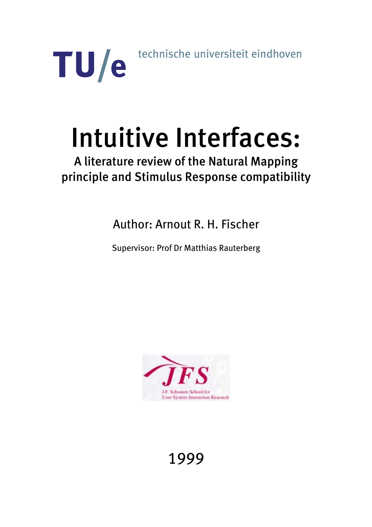technische universiteit eindhoven

# Intuitive Interfaces:

TU/e

# A literature review of the Natural Mapping principle and Stimulus Response compatibility

Author: Arnout R. H. Fischer

Supervisor: Prof Dr Matthias Rauterberg



# 1999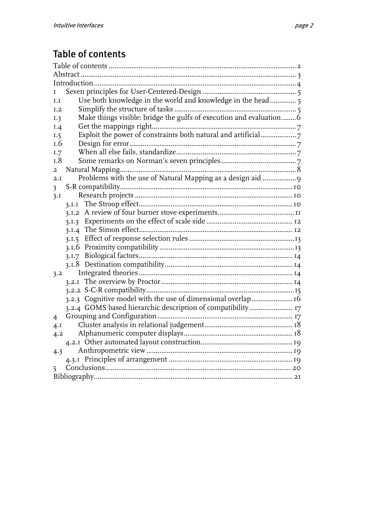# <span id="page-1-0"></span>Table of contents

| Τ                                                                         |
|---------------------------------------------------------------------------|
| Use both knowledge in the world and knowledge in the head 5<br>I.I        |
| I.2                                                                       |
| Make things visible: bridge the gulfs of execution and evaluation6<br>I.3 |
| I.4                                                                       |
| Exploit the power of constraints both natural and artificial7<br>1.5      |
| 1.6                                                                       |
| 1.7                                                                       |
| I.8                                                                       |
| $\overline{a}$                                                            |
| Problems with the use of Natural Mapping as a design aid 9<br>2.I         |
| $\overline{\mathbf{3}}$                                                   |
| 3.1                                                                       |
| 3.I.I                                                                     |
|                                                                           |
| 3.1.3                                                                     |
|                                                                           |
| 3.1.5                                                                     |
|                                                                           |
| 3.1.7                                                                     |
|                                                                           |
| 3.2                                                                       |
|                                                                           |
|                                                                           |
| 3.2.3 Cognitive model with the use of dimensional overlap 16              |
| 3.2.4 GOMS based hierarchic description of compatibility  17              |
| 4                                                                         |
| $4 \cdot I$                                                               |
| 4.2                                                                       |
|                                                                           |
| 4.3                                                                       |
|                                                                           |
| 5                                                                         |
|                                                                           |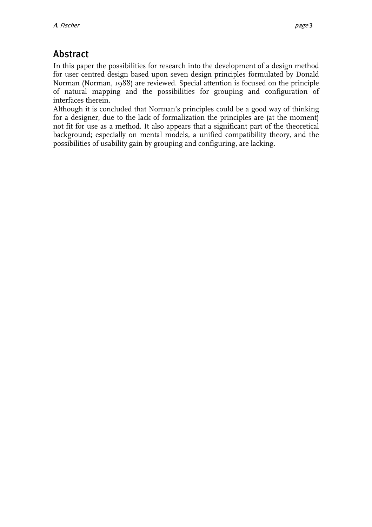# <span id="page-2-0"></span>Abstract

In this paper the possibilities for research into the development of a design method for user centred design based upon seven design principles formulated by Donald Norman (Norman, 1988) are reviewed. Special attention is focused on the principle of natural mapping and the possibilities for grouping and configuration of interfaces therein.

Although it is concluded that Norman's principles could be a good way of thinking for a designer, due to the lack of formalization the principles are (at the moment) not fit for use as a method. It also appears that a significant part of the theoretical background; especially on mental models, a unified compatibility theory, and the possibilities of usability gain by grouping and configuring, are lacking.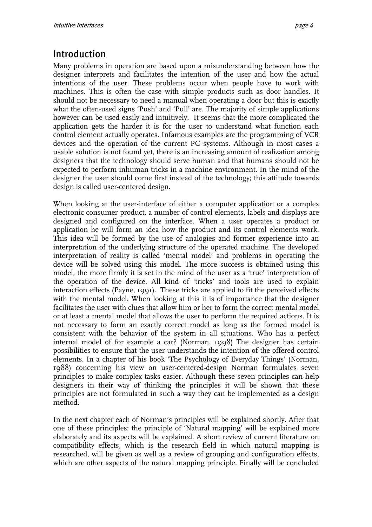## <span id="page-3-0"></span>Introduction

Many problems in operation are based upon a misunderstanding between how the designer interprets and facilitates the intention of the user and how the actual intentions of the user. These problems occur when people have to work with machines. This is often the case with simple products such as door handles. It should not be necessary to need a manual when operating a door but this is exactly what the often-used signs 'Push' and 'Pull' are. The majority of simple applications however can be used easily and intuitively. It seems that the more complicated the application gets the harder it is for the user to understand what function each control element actually operates. Infamous examples are the programming of VCR devices and the operation of the current PC systems. Although in most cases a usable solution is not found yet, there is an increasing amount of realization among designers that the technology should serve human and that humans should not be expected to perform inhuman tricks in a machine environment. In the mind of the designer the user should come first instead of the technology; this attitude towards design is called user-centered design.

When looking at the user-interface of either a computer application or a complex electronic consumer product, a number of control elements, labels and displays are designed and configured on the interface. When a user operates a product or application he will form an idea how the product and its control elements work. This idea will be formed by the use of analogies and former experience into an interpretation of the underlying structure of the operated machine. The developed interpretation of reality is called 'mental model' and problems in operating the device will be solved using this model. The more success is obtained using this model, the more firmly it is set in the mind of the user as a 'true' interpretation of the operation of the device. All kind of 'tricks' and tools are used to explain interaction effects (Payne, 1991). These tricks are applied to fit the perceived effects with the mental model. When looking at this it is of importance that the designer facilitates the user with clues that allow him or her to form the correct mental model or at least a mental model that allows the user to perform the required actions. It is not necessary to form an exactly correct model as long as the formed model is consistent with the behavior of the system in all situations. Who has a perfect internal model of for example a car? (Norman, 1998) The designer has certain possibilities to ensure that the user understands the intention of the offered control elements. In a chapter of his book 'The Psychology of Everyday Things' (Norman, 1988) concerning his view on user-centered-design Norman formulates seven principles to make complex tasks easier. Although these seven principles can help designers in their way of thinking the principles it will be shown that these principles are not formulated in such a way they can be implemented as a design method.

In the next chapter each of Norman's principles will be explained shortly. After that one of these principles: the principle of 'Natural mapping' will be explained more elaborately and its aspects will be explained. A short review of current literature on compatibility effects, which is the research field in which natural mapping is researched, will be given as well as a review of grouping and configuration effects, which are other aspects of the natural mapping principle. Finally will be concluded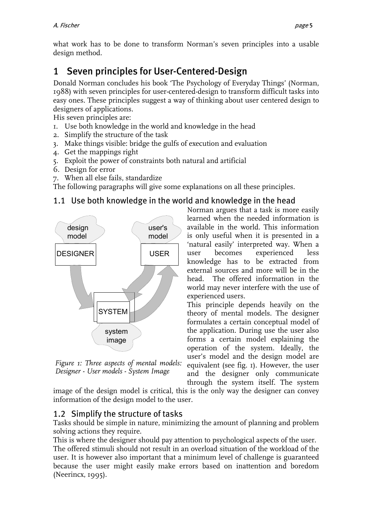<span id="page-4-0"></span>what work has to be done to transform Norman's seven principles into a usable design method.

# 1 Seven principles for User-Centered-Design

Donald Norman concludes his book 'The Psychology of Everyday Things' (Norman, 1988) with seven principles for user-centered-design to transform difficult tasks into easy ones. These principles suggest a way of thinking about user centered design to designers of applications.

His seven principles are:

- 1. Use both knowledge in the world and knowledge in the head
- 2. Simplify the structure of the task
- 3. Make things visible: bridge the gulfs of execution and evaluation
- 4. Get the mappings right
- 5. Exploit the power of constraints both natural and artificial
- 6. Design for error
- 7. When all else fails, standardize

The following paragraphs will give some explanations on all these principles.

#### 1.1 Use both knowledge in the world and knowledge in the head

<span id="page-4-1"></span>

*Figure 1: Three aspects of mental models: Designer - User models - System Image* 

Norman argues that a task is more easily learned when the needed information is available in the world. This information is only useful when it is presented in a 'natural easily' interpreted way. When a user becomes experienced less knowledge has to be extracted from external sources and more will be in the head. The offered information in the world may never interfere with the use of experienced users.

This principle depends heavily on the theory of mental models. The designer formulates a certain conceptual model of the application. During use the user also forms a certain model explaining the operation of the system. Ideally, the user's model and the design model are equivalent (see fig. 1[\).](#page-4-1) However, the user and the designer only communicate through the system itself. The system

image of the design model is critical, this is the only way the designer can convey information of the design model to the user.

#### 1.2 Simplify the structure of tasks

Tasks should be simple in nature, minimizing the amount of planning and problem solving actions they require.

This is where the designer should pay attention to psychological aspects of the user. The offered stimuli should not result in an overload situation of the workload of the user. It is however also important that a minimum level of challenge is guaranteed because the user might easily make errors based on inattention and boredom (Neerincx, 1995).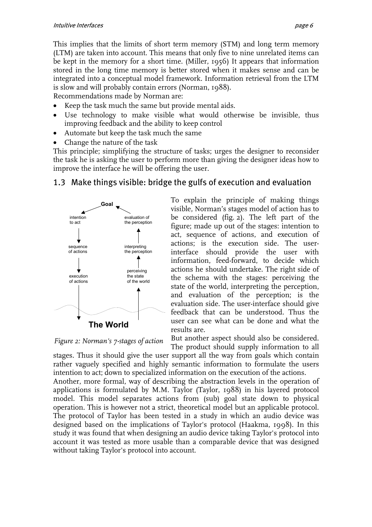<span id="page-5-0"></span>This implies that the limits of short term memory (STM) and long term memory (LTM) are taken into account. This means that only five to nine unrelated items can be kept in the memory for a short time. (Miller, 1956) It appears that information stored in the long time memory is better stored when it makes sense and can be integrated into a conceptual model framework. Information retrieval from the LTM is slow and will probably contain errors (Norman, 1988).

Recommendations made by Norman are:

- Keep the task much the same but provide mental aids.
- Use technology to make visible what would otherwise be invisible, thus improving feedback and the ability to keep control
- Automate but keep the task much the same
- Change the nature of the task

This principle; simplifying the structure of tasks; urges the designer to reconsider the task he is asking the user to perform more than giving the designer ideas how to improve the interface he will be offering the user.

<span id="page-5-1"></span>

#### 1.3 Make things visible: bridge the gulfs of execution and evaluation

To explain the principle of making things visible, Norman's stages model of action has to be considered (fig. [2\)](#page-5-1). The left part of the figure; made up out of the stages: intention to act, sequence of actions, and execution of actions; is the execution side. The userinterface should provide the user with information, feed-forward, to decide which actions he should undertake. The right side of the schema with the stages: perceiving the state of the world, interpreting the perception, and evaluation of the perception; is the evaluation side. The user-interface should give feedback that can be understood. Thus the user can see what can be done and what the results are.

*Figure 2: Norman's 7-stages of action* 

But another aspect should also be considered. The product should supply information to all

stages. Thus it should give the user support all the way from goals which contain rather vaguely specified and highly semantic information to formulate the users intention to act; down to specialized information on the execution of the actions.

Another, more formal, way of describing the abstraction levels in the operation of applications is formulated by M.M. Taylor (Taylor, 1988) in his layered protocol model. This model separates actions from (sub) goal state down to physical operation. This is however not a strict, theoretical model but an applicable protocol. The protocol of Taylor has been tested in a study in which an audio device was designed based on the implications of Taylor's protocol (Haakma, 1998). In this study it was found that when designing an audio device taking Taylor's protocol into account it was tested as more usable than a comparable device that was designed without taking Taylor's protocol into account.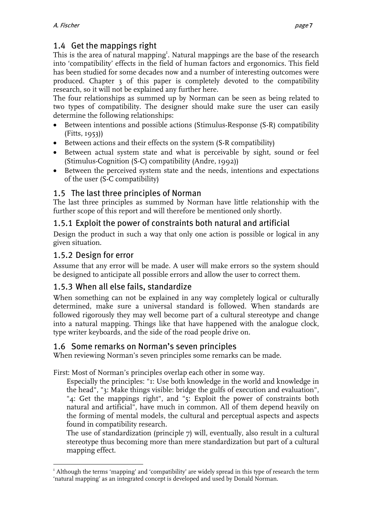#### <span id="page-6-0"></span>1.4 Get the mappings right

This is the area of natural mapping<sup>1</sup>[.](#page-6-1) Natural mappings are the base of the research into 'compatibility' effects in the field of human factors and ergonomics. This field has been studied for some decades now and a number of interesting outcomes were produced. Chapter 3 of this paper is completely devoted to the compatibility research, so it will not be explained any further here.

The four relationships as summed up by Norman can be seen as being related to two types of compatibility. The designer should make sure the user can easily determine the following relationships:

- Between intentions and possible actions (Stimulus-Response (S-R) compatibility  $(Fitts, 1953)$
- Between actions and their effects on the system (S-R compatibility)
- Between actual system state and what is perceivable by sight, sound or feel (Stimulus-Cognition (S-C) compatibility (Andre, 1992))
- Between the perceived system state and the needs, intentions and expectations of the user (S-C compatibility)

#### 1.5 The last three principles of Norman

The last three principles as summed by Norman have little relationship with the further scope of this report and will therefore be mentioned only shortly.

#### 1.5.1 Exploit the power of constraints both natural and artificial

Design the product in such a way that only one action is possible or logical in any given situation.

#### 1.5.2 Design for error

Assume that any error will be made. A user will make errors so the system should be designed to anticipate all possible errors and allow the user to correct them.

#### 1.5.3 When all else fails, standardize

When something can not be explained in any way completely logical or culturally determined, make sure a universal standard is followed. When standards are followed rigorously they may well become part of a cultural stereotype and change into a natural mapping. Things like that have happened with the analogue clock, type writer keyboards, and the side of the road people drive on.

#### 1.6 Some remarks on Norman's seven principles

When reviewing Norman's seven principles some remarks can be made.

First: Most of Norman's principles overlap each other in some way.

Especially the principles: "1: Use both knowledge in the world and knowledge in the head", "3: Make things visible: bridge the gulfs of execution and evaluation", "4: Get the mappings right", and "5: Exploit the power of constraints both natural and artificial", have much in common. All of them depend heavily on the forming of mental models, the cultural and perceptual aspects and aspects found in compatibility research.

The use of standardization (principle 7) will, eventually, also result in a cultural stereotype thus becoming more than mere standardization but part of a cultural mapping effect.

<span id="page-6-1"></span> $\overline{a}$  $I$  Although the terms 'mapping' and 'compatibility' are widely spread in this type of research the term 'natural mapping' as an integrated concept is developed and used by Donald Norman.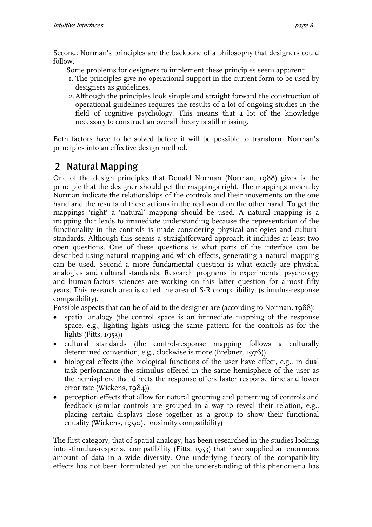<span id="page-7-0"></span>Second: Norman's principles are the backbone of a philosophy that designers could follow.

Some problems for designers to implement these principles seem apparent:

- 1. The principles give no operational support in the current form to be used by designers as guidelines.
- 2. Although the principles look simple and straight forward the construction of operational guidelines requires the results of a lot of ongoing studies in the field of cognitive psychology. This means that a lot of the knowledge necessary to construct an overall theory is still missing.

Both factors have to be solved before it will be possible to transform Norman's principles into an effective design method.

## 2 Natural Mapping

One of the design principles that Donald Norman (Norman, 1988) gives is the principle that the designer should get the mappings right. The mappings meant by Norman indicate the relationships of the controls and their movements on the one hand and the results of these actions in the real world on the other hand. To get the mappings 'right' a 'natural' mapping should be used. A natural mapping is a mapping that leads to immediate understanding because the representation of the functionality in the controls is made considering physical analogies and cultural standards. Although this seems a straightforward approach it includes at least two open questions. One of these questions is what parts of the interface can be described using natural mapping and which effects, generating a natural mapping can be used. Second a more fundamental question is what exactly are physical analogies and cultural standards. Research programs in experimental psychology and human-factors sciences are working on this latter question for almost fifty years. This research area is called the area of S-R compatibility, (stimulus-response compatibility).

Possible aspects that can be of aid to the designer are (according to Norman, 1988):

- spatial analogy (the control space is an immediate mapping of the response space, e.g., lighting lights using the same pattern for the controls as for the lights (Fitts,  $1953$ )
- cultural standards (the control-response mapping follows a culturally determined convention, e.g., clockwise is more (Brebner, 1976))
- biological effects (the biological functions of the user have effect, e.g., in dual task performance the stimulus offered in the same hemisphere of the user as the hemisphere that directs the response offers faster response time and lower error rate (Wickens, 1984))
- perception effects that allow for natural grouping and patterning of controls and feedback (similar controls are grouped in a way to reveal their relation, e.g., placing certain displays close together as a group to show their functional equality (Wickens, 1990), proximity compatibility)

The first category, that of spatial analogy, has been researched in the studies looking into stimulus-response compatibility (Fitts, 1953) that have supplied an enormous amount of data in a wide diversity. One underlying theory of the compatibility effects has not been formulated yet but the understanding of this phenomena has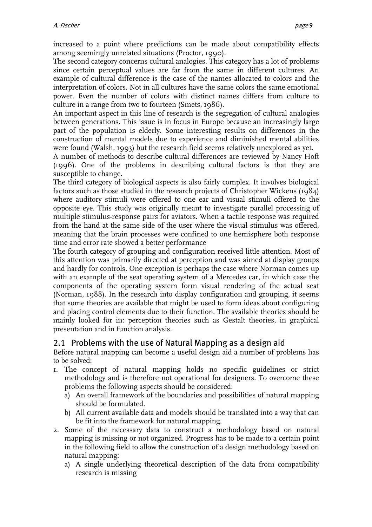<span id="page-8-0"></span>increased to a point where predictions can be made about compatibility effects among seemingly unrelated situations (Proctor, 1990).

The second category concerns cultural analogies. This category has a lot of problems since certain perceptual values are far from the same in different cultures. An example of cultural difference is the case of the names allocated to colors and the interpretation of colors. Not in all cultures have the same colors the same emotional power. Even the number of colors with distinct names differs from culture to culture in a range from two to fourteen (Smets, 1986).

An important aspect in this line of research is the segregation of cultural analogies between generations. This issue is in focus in Europe because an increasingly large part of the population is elderly. Some interesting results on differences in the construction of mental models due to experience and diminished mental abilities were found (Walsh, 1993) but the research field seems relatively unexplored as yet.

A number of methods to describe cultural differences are reviewed by Nancy Hoft (1996). One of the problems in describing cultural factors is that they are susceptible to change.

The third category of biological aspects is also fairly complex. It involves biological factors such as those studied in the research projects of Christopher Wickens (1984) where auditory stimuli were offered to one ear and visual stimuli offered to the opposite eye. This study was originally meant to investigate parallel processing of multiple stimulus-response pairs for aviators. When a tactile response was required from the hand at the same side of the user where the visual stimulus was offered, meaning that the brain processes were confined to one hemisphere both response time and error rate showed a better performance

The fourth category of grouping and configuration received little attention. Most of this attention was primarily directed at perception and was aimed at display groups and hardly for controls. One exception is perhaps the case where Norman comes up with an example of the seat operating system of a Mercedes car, in which case the components of the operating system form visual rendering of the actual seat (Norman, 1988). In the research into display configuration and grouping, it seems that some theories are available that might be used to form ideas about configuring and placing control elements due to their function. The available theories should be mainly looked for in: perception theories such as Gestalt theories, in graphical presentation and in function analysis.

#### 2.1 Problems with the use of Natural Mapping as a design aid

Before natural mapping can become a useful design aid a number of problems has to be solved:

- 1. The concept of natural mapping holds no specific guidelines or strict methodology and is therefore not operational for designers. To overcome these problems the following aspects should be considered:
	- a) An overall framework of the boundaries and possibilities of natural mapping should be formulated.
	- b) All current available data and models should be translated into a way that can be fit into the framework for natural mapping.
- 2. Some of the necessary data to construct a methodology based on natural mapping is missing or not organized. Progress has to be made to a certain point in the following field to allow the construction of a design methodology based on natural mapping:
	- a) A single underlying theoretical description of the data from compatibility research is missing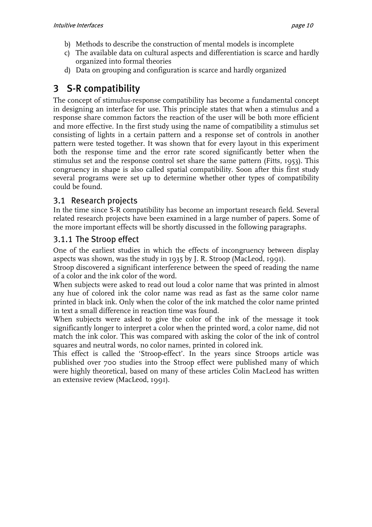- <span id="page-9-0"></span>b) Methods to describe the construction of mental models is incomplete
- c) The available data on cultural aspects and differentiation is scarce and hardly organized into formal theories
- d) Data on grouping and configuration is scarce and hardly organized

# 3 S-R compatibility

The concept of stimulus-response compatibility has become a fundamental concept in designing an interface for use. This principle states that when a stimulus and a response share common factors the reaction of the user will be both more efficient and more effective. In the first study using the name of compatibility a stimulus set consisting of lights in a certain pattern and a response set of controls in another pattern were tested together. It was shown that for every layout in this experiment both the response time and the error rate scored significantly better when the stimulus set and the response control set share the same pattern (Fitts, 1953). This congruency in shape is also called spatial compatibility. Soon after this first study several programs were set up to determine whether other types of compatibility could be found.

#### 3.1 Research projects

In the time since S-R compatibility has become an important research field. Several related research projects have been examined in a large number of papers. Some of the more important effects will be shortly discussed in the following paragraphs.

#### 3.1.1 The Stroop effect

One of the earliest studies in which the effects of incongruency between display aspects was shown, was the study in 1935 by J. R. Stroop (MacLeod, 1991).

Stroop discovered a significant interference between the speed of reading the name of a color and the ink color of the word.

When subjects were asked to read out loud a color name that was printed in almost any hue of colored ink the color name was read as fast as the same color name printed in black ink. Only when the color of the ink matched the color name printed in text a small difference in reaction time was found.

When subjects were asked to give the color of the ink of the message it took significantly longer to interpret a color when the printed word, a color name, did not match the ink color. This was compared with asking the color of the ink of control squares and neutral words, no color names, printed in colored ink.

This effect is called the 'Stroop-effect'. In the years since Stroops article was published over 700 studies into the Stroop effect were published many of which were highly theoretical, based on many of these articles Colin MacLeod has written an extensive review (MacLeod, 1991).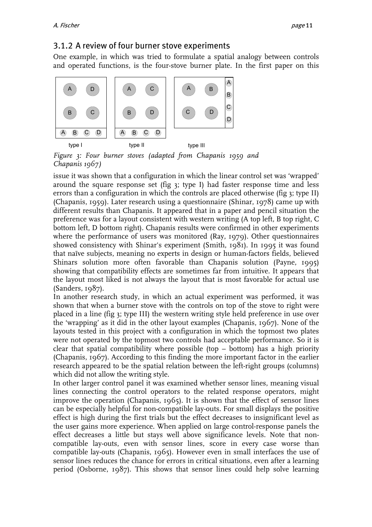#### <span id="page-10-0"></span>3.1.2 A review of four burner stove experiments

One example, in which was tried to formulate a spatial analogy between controls and operated functions, is the four-stove burner plate. In the first paper on this



<span id="page-10-1"></span>*Figure 3: Four burner stoves (adapted from Chapanis 1959 and Chapanis 1967)*

issue it was shown that a configuration in which the linear control set was 'wrapped' around the square response set (fig [3;](#page-10-1) type I) had faster response time and less errors than a configuration in which the controls are placed otherwise (fig [3;](#page-10-1) type II) (Chapanis, 1959). Later research using a questionnaire (Shinar, 1978) came up with different results than Chapanis. It appeared that in a paper and pencil situation the preference was for a layout consistent with western writing (A top left, B top right, C bottom left, D bottom right). Chapanis results were confirmed in other experiments where the performance of users was monitored (Ray, 1979). Other questionnaires showed consistency with Shinar's experiment (Smith, 1981). In 1995 it was found that naïve subjects, meaning no experts in design or human-factors fields, believed Shinars solution more often favorable than Chapanis solution (Payne, 1995) showing that compatibility effects are sometimes far from intuitive. It appears that the layout most liked is not always the layout that is most favorable for actual use (Sanders, 1987).

In another research study, in which an actual experiment was performed, it was shown that when a burner stove with the controls on top of the stove to right were placed in a line (fig [3;](#page-10-1) type III) the western writing style held preference in use over the 'wrapping' as it did in the other layout examples (Chapanis, 1967). None of the layouts tested in this project with a configuration in which the topmost two plates were not operated by the topmost two controls had acceptable performance. So it is clear that spatial compatibility where possible (top – bottom) has a high priority (Chapanis, 1967). According to this finding the more important factor in the earlier research appeared to be the spatial relation between the left-right groups (columns) which did not allow the writing style.

In other larger control panel it was examined whether sensor lines, meaning visual lines connecting the control operators to the related response operators, might improve the operation (Chapanis, 1965). It is shown that the effect of sensor lines can be especially helpful for non-compatible lay-outs. For small displays the positive effect is high during the first trials but the effect decreases to insignificant level as the user gains more experience. When applied on large control-response panels the effect decreases a little but stays well above significance levels. Note that noncompatible lay-outs, even with sensor lines, score in every case worse than compatible lay-outs (Chapanis, 1965). However even in small interfaces the use of sensor lines reduces the chance for errors in critical situations, even after a learning period (Osborne, 1987). This shows that sensor lines could help solve learning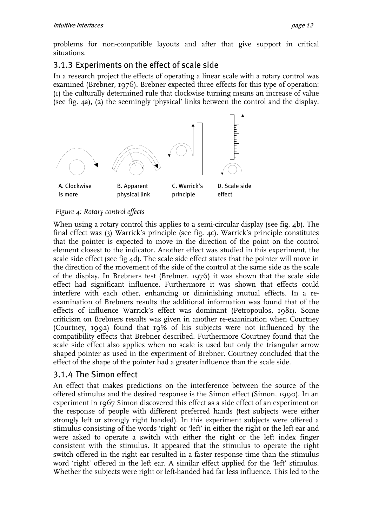<span id="page-11-0"></span>problems for non-compatible layouts and after that give support in critical situations.

#### 3.1.3 Experiments on the effect of scale side

In a research project the effects of operating a linear scale with a rotary control was examined (Brebner, 1976). Brebner expected three effects for this type of operation: (1) the culturally determined rule that clockwise turning means an increase of value (see fig. [4a](#page-11-1)), (2) the seemingly 'physical' links between the control and the display.

<span id="page-11-1"></span>

#### *Figure 4: Rotary control effects*

When using a rotary control this applies to a semi-circular display (see fig.  $\phi$ ). The final effect was (3) Warrick's principle (see fig. [4c](#page-11-1)). Warrick's principle constitutes that the pointer is expected to move in the direction of the point on the control element closest to the indicator. Another effect was studied in this experiment, the scale side effect (see fig  $4d$ ). The scale side effect states that the pointer will move in the direction of the movement of the side of the control at the same side as the scale of the display. In Brebners test (Brebner, 1976) it was shown that the scale side effect had significant influence. Furthermore it was shown that effects could interfere with each other, enhancing or diminishing mutual effects. In a reexamination of Brebners results the additional information was found that of the effects of influence Warrick's effect was dominant (Petropoulos, 1981). Some criticism on Brebners results was given in another re-examination when Courtney (Courtney, 1992) found that 19% of his subjects were not influenced by the compatibility effects that Brebner described. Furthermore Courtney found that the scale side effect also applies when no scale is used but only the triangular arrow shaped pointer as used in the experiment of Brebner. Courtney concluded that the effect of the shape of the pointer had a greater influence than the scale side.

#### 3.1.4 The Simon effect

An effect that makes predictions on the interference between the source of the offered stimulus and the desired response is the Simon effect (Simon, 1990). In an experiment in 1967 Simon discovered this effect as a side effect of an experiment on the response of people with different preferred hands (test subjects were either strongly left or strongly right handed). In this experiment subjects were offered a stimulus consisting of the words 'right' or 'left' in either the right or the left ear and were asked to operate a switch with either the right or the left index finger consistent with the stimulus. It appeared that the stimulus to operate the right switch offered in the right ear resulted in a faster response time than the stimulus word 'right' offered in the left ear. A similar effect applied for the 'left' stimulus. Whether the subjects were right or left-handed had far less influence. This led to the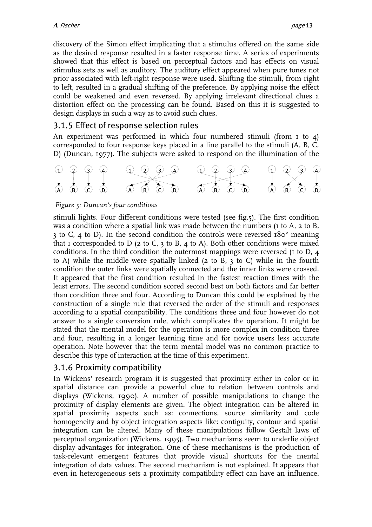<span id="page-12-0"></span>discovery of the Simon effect implicating that a stimulus offered on the same side as the desired response resulted in a faster response time. A series of experiments showed that this effect is based on perceptual factors and has effects on visual stimulus sets as well as auditory. The auditory effect appeared when pure tones not prior associated with left-right response were used. Shifting the stimuli, from right to left, resulted in a gradual shifting of the preference. By applying noise the effect could be weakened and even reversed. By applying irrelevant directional clues a distortion effect on the processing can be found. Based on this it is suggested to design displays in such a way as to avoid such clues.

#### 3.1.5 Effect of response selection rules

An experiment was performed in which four numbered stimuli (from I to 4) corresponded to four response keys placed in a line parallel to the stimuli (A, B, C, D) (Duncan, 1977). The subjects were asked to respond on the illumination of the

<span id="page-12-1"></span>

#### *Figure 5: Duncan's four conditions*

stimuli lights. Four different conditions were tested (see fig.[5\)](#page-12-1). The first condition was a condition where a spatial link was made between the numbers (1 to A, 2 to B, 3 to C, 4 to D). In the second condition the controls were reversed 180° meaning that I corresponded to D (2 to C, 3 to B, 4 to A). Both other conditions were mixed conditions. In the third condition the outermost mappings were reversed (1 to D, 4 to A) while the middle were spatially linked (2 to B, 3 to C) while in the fourth condition the outer links were spatially connected and the inner links were crossed. It appeared that the first condition resulted in the fastest reaction times with the least errors. The second condition scored second best on both factors and far better than condition three and four. According to Duncan this could be explained by the construction of a single rule that reversed the order of the stimuli and responses according to a spatial compatibility. The conditions three and four however do not answer to a single conversion rule, which complicates the operation. It might be stated that the mental model for the operation is more complex in condition three and four, resulting in a longer learning time and for novice users less accurate operation. Note however that the term mental model was no common practice to describe this type of interaction at the time of this experiment.

#### 3.1.6 Proximity compatibility

In Wickens' research program it is suggested that proximity either in color or in spatial distance can provide a powerful clue to relation between controls and displays (Wickens, 1990). A number of possible manipulations to change the proximity of display elements are given. The object integration can be altered in spatial proximity aspects such as: connections, source similarity and code homogeneity and by object integration aspects like: contiguity, contour and spatial integration can be altered. Many of these manipulations follow Gestalt laws of perceptual organization (Wickens, 1995). Two mechanisms seem to underlie object display advantages for integration. One of these mechanisms is the production of task-relevant emergent features that provide visual shortcuts for the mental integration of data values. The second mechanism is not explained. It appears that even in heterogeneous sets a proximity compatibility effect can have an influence.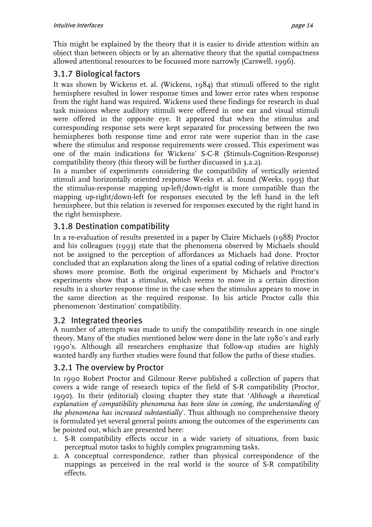<span id="page-13-0"></span>This might be explained by the theory that it is easier to divide attention within an object than between objects or by an alternative theory that the spatial compactness allowed attentional resources to be focussed more narrowly (Carswell, 1996).

#### 3.1.7 Biological factors

It was shown by Wickens et. al. (Wickens, 1984) that stimuli offered to the right hemisphere resulted in lower response times and lower error rates when response from the right hand was required. Wickens used these findings for research in dual task missions where auditory stimuli were offered in one ear and visual stimuli were offered in the opposite eye. It appeared that when the stimulus and corresponding response sets were kept separated for processing between the two hemispheres both response time and error rate were superior than in the case where the stimulus and response requirements were crossed. This experiment was one of the main indications for Wickens' S-C-R (Stimuls-Cognition-Response) compatibility theory (this theory will be further discussed in 3.2.2).

In a number of experiments considering the compatibility of vertically oriented stimuli and horizontally oriented response Weeks et. al. found (Weeks, 1995) that the stimulus-response mapping up-left/down-right is more compatible than the mapping up-right/down-left for responses executed by the left hand in the left hemisphere, but this relation is reversed for responses executed by the right hand in the right hemisphere.

#### 3.1.8 Destination compatibility

In a re-evaluation of results presented in a paper by Claire Michaels (1988) Proctor and his colleagues (1993) state that the phenomena observed by Michaels should not be assigned to the perception of affordances as Michaels had done. Proctor concluded that an explanation along the lines of a spatial coding of relative direction shows more promise. Both the original experiment by Michaels and Proctor's experiments show that a stimulus, which seems to move in a certain direction results in a shorter response time in the case when the stimulus appears to move in the same direction as the required response. In his article Proctor calls this phenomenon 'destination' compatibility.

#### 3.2 Integrated theories

A number of attempts was made to unify the compatibility research in one single theory. Many of the studies mentioned below were done in the late 1980's and early 1990's. Although all researchers emphasize that follow-up studies are highly wanted hardly any further studies were found that follow the paths of these studies.

#### 3.2.1 The overview by Proctor

In 1990 Robert Proctor and Gilmour Reeve published a collection of papers that covers a wide range of research topics of the field of S-R compatibility (Proctor, 1990). In their (editorial) closing chapter they state that '*Although a theoretical*  explanation of compatibility phenomena has been slow in coming, the understanding of *the phenomena has increased substantially*'. Thus although no comprehensive theory is formulated yet several general points among the outcomes of the experiments can be pointed out, which are presented here:

- 1. S-R compatibility effects occur in a wide variety of situations, from basic perceptual motor tasks to highly complex programming tasks.
- 2. A conceptual correspondence, rather than physical correspondence of the mappings as perceived in the real world is the source of S-R compatibility effects.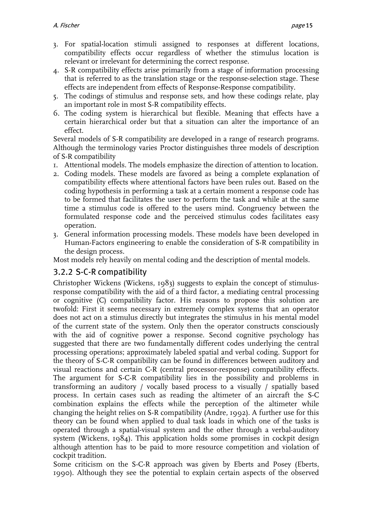- <span id="page-14-0"></span>3. For spatial-location stimuli assigned to responses at different locations, compatibility effects occur regardless of whether the stimulus location is relevant or irrelevant for determining the correct response.
- 4. S-R compatibility effects arise primarily from a stage of information processing that is referred to as the translation stage or the response-selection stage. These effects are independent from effects of Response-Response compatibility.
- 5. The codings of stimulus and response sets, and how these codings relate, play an important role in most S-R compatibility effects.
- 6. The coding system is hierarchical but flexible. Meaning that effects have a certain hierarchical order but that a situation can alter the importance of an effect.

Several models of S-R compatibility are developed in a range of research programs. Although the terminology varies Proctor distinguishes three models of description of S-R compatibility

- 1. Attentional models. The models emphasize the direction of attention to location.
- 2. Coding models. These models are favored as being a complete explanation of compatibility effects where attentional factors have been rules out. Based on the coding hypothesis in performing a task at a certain moment a response code has to be formed that facilitates the user to perform the task and while at the same time a stimulus code is offered to the users mind. Congruency between the formulated response code and the perceived stimulus codes facilitates easy operation.
- 3. General information processing models. These models have been developed in Human-Factors engineering to enable the consideration of S-R compatibility in the design process.

Most models rely heavily on mental coding and the description of mental models.

#### 3.2.2 S-C-R compatibility

Christopher Wickens (Wickens, 1983) suggests to explain the concept of stimulusresponse compatibility with the aid of a third factor, a mediating central processing or cognitive (C) compatibility factor. His reasons to propose this solution are twofold: First it seems necessary in extremely complex systems that an operator does not act on a stimulus directly but integrates the stimulus in his mental model of the current state of the system. Only then the operator constructs consciously with the aid of cognitive power a response. Second cognitive psychology has suggested that there are two fundamentally different codes underlying the central processing operations; approximately labeled spatial and verbal coding. Support for the theory of S-C-R compatibility can be found in differences between auditory and visual reactions and certain C-R (central processor-response) compatibility effects. The argument for S-C-R compatibility lies in the possibility and problems in transforming an auditory / vocally based process to a visually / spatially based process. In certain cases such as reading the altimeter of an aircraft the S-C combination explains the effects while the perception of the altimeter while changing the height relies on S-R compatibility (Andre, 1992). A further use for this theory can be found when applied to dual task loads in which one of the tasks is operated through a spatial-visual system and the other through a verbal-auditory system (Wickens, 1984). This application holds some promises in cockpit design although attention has to be paid to more resource competition and violation of cockpit tradition.

Some criticism on the S-C-R approach was given by Eberts and Posey (Eberts, 1990). Although they see the potential to explain certain aspects of the observed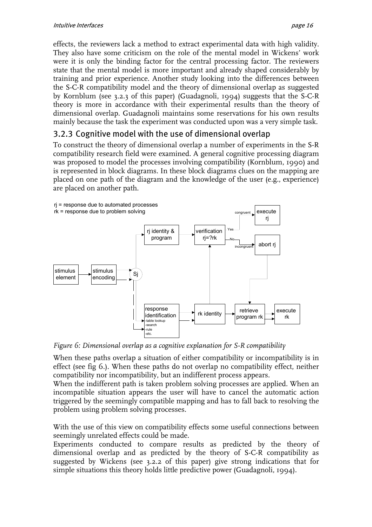<span id="page-15-0"></span>effects, the reviewers lack a method to extract experimental data with high validity. They also have some criticism on the role of the mental model in Wickens' work were it is only the binding factor for the central processing factor. The reviewers state that the mental model is more important and already shaped considerably by training and prior experience. Another study looking into the differences between the S-C-R compatibility model and the theory of dimensional overlap as suggested by Kornblum (see 3.2.3 of this paper) (Guadagnoli, 1994) suggests that the S-C-R theory is more in accordance with their experimental results than the theory of dimensional overlap. Guadagnoli maintains some reservations for his own results mainly because the task the experiment was conducted upon was a very simple task.

#### 3.2.3 Cognitive model with the use of dimensional overlap

To construct the theory of dimensional overlap a number of experiments in the S-R compatibility research field were examined. A general cognitive processing diagram was proposed to model the processes involving compatibility (Kornblum, 1990) and is represented in block diagrams. In these block diagrams clues on the mapping are placed on one path of the diagram and the knowledge of the user (e.g., experience) are placed on another path.

<span id="page-15-1"></span>

*Figure 6: Dimensional overlap as a cognitive explanation for S-R compatibility* 

When these paths overlap a situation of either compatibility or incompatibility is in effect (see fig [6.\)](#page-15-1). When these paths do not overlap no compatibility effect, neither compatibility nor incompatibility, but an indifferent process appears.

When the indifferent path is taken problem solving processes are applied. When an incompatible situation appears the user will have to cancel the automatic action triggered by the seemingly compatible mapping and has to fall back to resolving the problem using problem solving processes.

With the use of this view on compatibility effects some useful connections between seemingly unrelated effects could be made.

Experiments conducted to compare results as predicted by the theory of dimensional overlap and as predicted by the theory of S-C-R compatibility as suggested by Wickens (see 3.2.2 of this paper) give strong indications that for simple situations this theory holds little predictive power (Guadagnoli, 1994).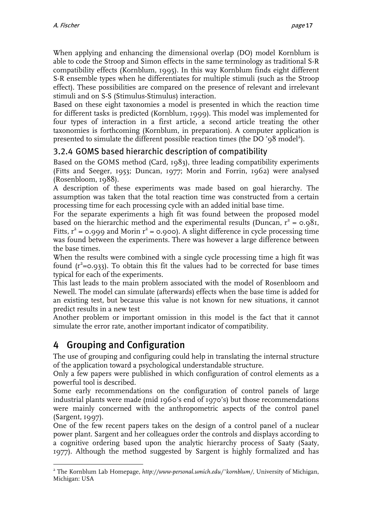<span id="page-16-0"></span>When applying and enhancing the dimensional overlap (DO) model Kornblum is able to code the Stroop and Simon effects in the same terminology as traditional S-R compatibility effects (Kornblum, 1995). In this way Kornblum finds eight different S-R ensemble types when he differentiates for multiple stimuli (such as the Stroop effect). These possibilities are compared on the presence of relevant and irrelevant stimuli and on S-S (Stimulus-Stimulus) interaction.

Based on these eight taxonomies a model is presented in which the reaction time for different tasks is predicted (Kornblum, 1999). This model was implemented for four types of interaction in a first article, a second article treating the other taxonomies is forthcoming (Kornblum, in preparation). A computer application is presented to simulate the different possible reaction times (the  $\overline{DO}$  '98 model<sup>2</sup>).

#### 3.2.4 GOMS based hierarchic description of compatibility

Based on the GOMS method (Card, 1983), three leading compatibility experiments (Fitts and Seeger, 1953; Duncan, 1977; Morin and Forrin, 1962) were analysed (Rosenbloom, 1988).

A description of these experiments was made based on goal hierarchy. The assumption was taken that the total reaction time was constructed from a certain processing time for each processing cycle with an added initial base time.

For the separate experiments a high fit was found between the proposed model based on the hierarchic method and the experimental results (Duncan,  $r^2 = 0.98$ 1, Fitts,  $r^2$  = 0.999 and Morin  $r^2$  = 0.900). A slight difference in cycle processing time was found between the experiments. There was however a large difference between the base times.

When the results were combined with a single cycle processing time a high fit was found  $(r^2=0.933)$ . To obtain this fit the values had to be corrected for base times typical for each of the experiments.

This last leads to the main problem associated with the model of Rosenbloom and Newell. The model can simulate (afterwards) effects when the base time is added for an existing test, but because this value is not known for new situations, it cannot predict results in a new test

Another problem or important omission in this model is the fact that it cannot simulate the error rate, another important indicator of compatibility.

# 4 Grouping and Configuration

The use of grouping and configuring could help in translating the internal structure of the application toward a psychological understandable structure.

Only a few papers were published in which configuration of control elements as a powerful tool is described.

Some early recommendations on the configuration of control panels of large industrial plants were made (mid 1960's end of 1970's) but those recommendations were mainly concerned with the anthropometric aspects of the control panel (Sargent, 1997).

One of the few recent papers takes on the design of a control panel of a nuclear power plant. Sargent and her colleagues order the controls and displays according to a cognitive ordering based upon the analytic hierarchy process of Saaty (Saaty, 1977). Although the method suggested by Sargent is highly formalized and has

<span id="page-16-1"></span> $\overline{a}$ 2 The Kornblum Lab Homepage, *http://www-personal.umich.edu/~kornblum/,* University of Michigan, Michigan: USA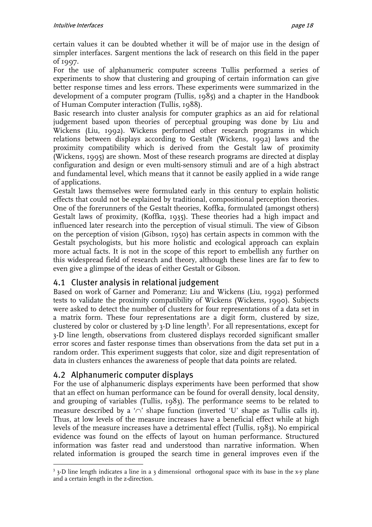<span id="page-17-0"></span>certain values it can be doubted whether it will be of major use in the design of simpler interfaces. Sargent mentions the lack of research on this field in the paper of 1997.

For the use of alphanumeric computer screens Tullis performed a series of experiments to show that clustering and grouping of certain information can give better response times and less errors. These experiments were summarized in the development of a computer program (Tullis, 1985) and a chapter in the Handbook of Human Computer interaction (Tullis, 1988).

Basic research into cluster analysis for computer graphics as an aid for relational judgement based upon theories of perceptual grouping was done by Liu and Wickens (Liu, 1992). Wickens performed other research programs in which relations between displays according to Gestalt (Wickens, 1992) laws and the proximity compatibility which is derived from the Gestalt law of proximity (Wickens, 1995) are shown. Most of these research programs are directed at display configuration and design or even multi-sensory stimuli and are of a high abstract and fundamental level, which means that it cannot be easily applied in a wide range of applications.

Gestalt laws themselves were formulated early in this century to explain holistic effects that could not be explained by traditional, compositional perception theories. One of the forerunners of the Gestalt theories, Koffka, formulated (amongst others) Gestalt laws of proximity, (Koffka, 1935). These theories had a high impact and influenced later research into the perception of visual stimuli. The view of Gibson on the perception of vision (Gibson, 1950) has certain aspects in common with the Gestalt psychologists, but his more holistic and ecological approach can explain more actual facts. It is not in the scope of this report to embellish any further on this widespread field of research and theory, although these lines are far to few to even give a glimpse of the ideas of either Gestalt or Gibson.

#### 4.1 Cluster analysis in relational judgement

Based on work of Garner and Pomeranz; Liu and Wickens (Liu, 1992) performed tests to validate the proximity compatibility of Wickens (Wickens, 1990). Subjects were asked to detect the number of clusters for four representations of a data set in a matrix form. These four representations are a digit form, clustered by size, clustered by color or clustered by  $3$ -D line length<sup>3</sup>. For all representations, except for 3-D line length, observations from clustered displays recorded significant smaller error scores and faster response times than observations from the data set put in a random order. This experiment suggests that color, size and digit representation of data in clusters enhances the awareness of people that data points are related.

#### 4.2 Alphanumeric computer displays

For the use of alphanumeric displays experiments have been performed that show that an effect on human performance can be found for overall density, local density, and grouping of variables (Tullis, 1983). The performance seems to be related to measure described by a '∩' shape function (inverted 'U' shape as Tullis calls it). Thus, at low levels of the measure increases have a beneficial effect while at high levels of the measure increases have a detrimental effect (Tullis, 1983). No empirical evidence was found on the effects of layout on human performance. Structured information was faster read and understood than narrative information. When related information is grouped the search time in general improves even if the

<span id="page-17-1"></span> $\overline{a}$ <sup>3</sup> 3-D line length indicates a line in a 3 dimensional orthogonal space with its base in the x-y plane and a certain length in the z-direction.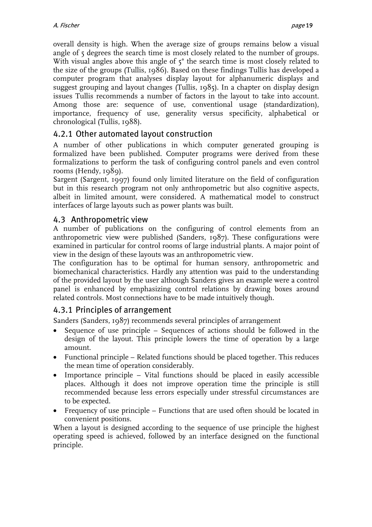<span id="page-18-0"></span>overall density is high. When the average size of groups remains below a visual angle of 5 degrees the search time is most closely related to the number of groups. With visual angles above this angle of  $5^\circ$  the search time is most closely related to the size of the groups (Tullis, 1986). Based on these findings Tullis has developed a computer program that analyses display layout for alphanumeric displays and suggest grouping and layout changes (Tullis, 1985). In a chapter on display design issues Tullis recommends a number of factors in the layout to take into account. Among those are: sequence of use, conventional usage (standardization), importance, frequency of use, generality versus specificity, alphabetical or chronological (Tullis, 1988).

#### 4.2.1 Other automated layout construction

A number of other publications in which computer generated grouping is formalized have been published. Computer programs were derived from these formalizations to perform the task of configuring control panels and even control rooms (Hendy,  $1989$ ).

Sargent (Sargent, 1997) found only limited literature on the field of configuration but in this research program not only anthropometric but also cognitive aspects, albeit in limited amount, were considered. A mathematical model to construct interfaces of large layouts such as power plants was built.

#### 4.3 Anthropometric view

A number of publications on the configuring of control elements from an anthropometric view were published (Sanders, 1987). These configurations were examined in particular for control rooms of large industrial plants. A major point of view in the design of these layouts was an anthropometric view.

The configuration has to be optimal for human sensory, anthropometric and biomechanical characteristics. Hardly any attention was paid to the understanding of the provided layout by the user although Sanders gives an example were a control panel is enhanced by emphasizing control relations by drawing boxes around related controls. Most connections have to be made intuitively though.

#### 4.3.1 Principles of arrangement

Sanders (Sanders, 1987) recommends several principles of arrangement

- Sequence of use principle Sequences of actions should be followed in the design of the layout. This principle lowers the time of operation by a large amount.
- Functional principle Related functions should be placed together. This reduces the mean time of operation considerably.
- Importance principle Vital functions should be placed in easily accessible places. Although it does not improve operation time the principle is still recommended because less errors especially under stressful circumstances are to be expected.
- Frequency of use principle Functions that are used often should be located in convenient positions.

When a layout is designed according to the sequence of use principle the highest operating speed is achieved, followed by an interface designed on the functional principle.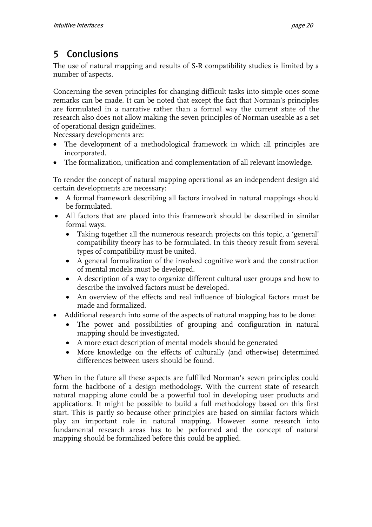# <span id="page-19-0"></span>5 Conclusions

The use of natural mapping and results of S-R compatibility studies is limited by a number of aspects.

Concerning the seven principles for changing difficult tasks into simple ones some remarks can be made. It can be noted that except the fact that Norman's principles are formulated in a narrative rather than a formal way the current state of the research also does not allow making the seven principles of Norman useable as a set of operational design guidelines.

Necessary developments are:

- The development of a methodological framework in which all principles are incorporated.
- The formalization, unification and complementation of all relevant knowledge.

To render the concept of natural mapping operational as an independent design aid certain developments are necessary:

- A formal framework describing all factors involved in natural mappings should be formulated.
- All factors that are placed into this framework should be described in similar formal ways.
	- Taking together all the numerous research projects on this topic, a 'general' compatibility theory has to be formulated. In this theory result from several types of compatibility must be united.
	- A general formalization of the involved cognitive work and the construction of mental models must be developed.
	- A description of a way to organize different cultural user groups and how to describe the involved factors must be developed.
	- An overview of the effects and real influence of biological factors must be made and formalized.
- Additional research into some of the aspects of natural mapping has to be done:
	- The power and possibilities of grouping and configuration in natural mapping should be investigated.
	- A more exact description of mental models should be generated
	- More knowledge on the effects of culturally (and otherwise) determined differences between users should be found.

When in the future all these aspects are fulfilled Norman's seven principles could form the backbone of a design methodology. With the current state of research natural mapping alone could be a powerful tool in developing user products and applications. It might be possible to build a full methodology based on this first start. This is partly so because other principles are based on similar factors which play an important role in natural mapping. However some research into fundamental research areas has to be performed and the concept of natural mapping should be formalized before this could be applied.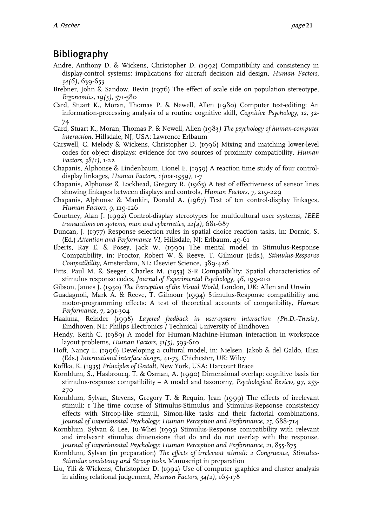## <span id="page-20-0"></span>Bibliography

- Andre, Anthony D. & Wickens, Christopher D. (1992) Compatibility and consistency in display-control systems: implications for aircraft decision aid design, *Human Factors, 34(6),* 639-653
- Brebner, John & Sandow, Bevin (1976) The effect of scale side on population stereotype, *Ergonomics, 19(5),* 571-580
- Card, Stuart K., Moran, Thomas P. & Newell, Allen (1980) Computer text-editing: An information-processing analysis of a routine cognitive skill, *Cognitive Psychology, 12,* 32- 74
- Card, Stuart K., Moran, Thomas P. & Newell, Allen (1983*) The psychology of human-computer interaction,* Hillsdale, NJ, USA: Lawrence Erlbaum
- Carswell, C. Melody & Wickens, Christopher D. (1996) Mixing and matching lower-level codes for object displays: evidence for two sources of proximity compatibility, *Human Factors, 38(1),* 1-22
- Chapanis, Alphonse & Lindenbaum, Lionel E. (1959) A reaction time study of four controldisplay linkages, *Human Factors, 1(nov-1959),* 1-7
- Chapanis, Alphonse & Lockhead, Gregory R. (1965) A test of effectiveness of sensor lines showing linkages between displays and controls, *Human Factors, 7,* 219-229
- Chapanis, Alphonse & Mankin, Donald A. (1967) Test of ten control-display linkages, *Human Factors, 9,* 119-126
- Courtney, Alan J. (1992) Control-display stereotypes for multicultural user systems, *IEEE transactions on systems, man and cybernetics, 22(4),* 681-687
- Duncan, J. (1977) Response selection rules in spatial choice reaction tasks, in: Dornic, S. (Ed.) *Attention and Performance VI,* Hillsdale, NJ: Erlbaum, 49-61
- Eberts, Ray E. & Posey, Jack W. (1990) The mental model in Stimulus-Response Compatibility, in: Proctor, Robert W. & Reeve, T. Gilmour (Eds.), *Stimulus-Response Compatibility,* Amsterdam, NL: Elsevier Science, 389-426
- Fitts, Paul M. & Seeger, Charles M. (1953) S-R Compatibility: Spatial characteristics of stimulus response codes, *Journal of Experimental Psychology, 46,* 199-210
- Gibson, James J. (1950) *The Perception of the Visual World,* London, UK: Allen and Unwin
- Guadagnoli, Mark A. & Reeve, T. Gilmour (1994) Stimulus-Response compatibility and motor-programming effects: A test of theoretical accounts of compatibility, *Human Performance, 7,* 291-304
- Haakma, Reinder (1998) *Layered feedback in user-system interaction (Ph.D.-Thesis),*  Eindhoven, NL: Philips Electronics / Technical University of Eindhoven
- Hendy, Keith C. (1989) A model for Human-Machine-Human interaction in workspace layout problems, *Human Factors, 31(5),* 593-610
- Hoft, Nancy L. (1996) Developing a cultural model, in: Nielsen, Jakob & del Galdo, Elisa (Eds.) *International interface design,* 41-73, Chichester, UK: Wiley
- Koffka, K. (1935) *Principles of Gestalt,* New York, USA: Harcourt Brace
- Kornblum, S., Hasbroucq, T. & Osman, A. (1990) Dimensional overlap: cognitive basis for stimulus-response compatibility – A model and taxonomy, *Psychological Review, 97,* 253- 270
- Kornblum, Sylvan, Stevens, Gregory T. & Requin, Jean (1999) The effects of irrelevant stimuli: 1 The time course of Stimulus-Stimulus and Stimulus-Repsonse consistency effects with Stroop-like stimuli, Simon-like tasks and their factorial combinations, *Journal of Experimental Psychology: Human Perception and Performance, 25,* 688-714
- Kornblum, Sylvan & Lee, Ju-Whei (1995) Stimulus-Response compatibility with relevant and irrelveant stimulus dimensions that do and do not overlap with the response, *Journal of Experimental Psychology: Human Perception and Performance, 21,* 855-875
- Kornblum, Sylvan (in preparation) *The effects of irrelevant stimuli: 2 Congruence, Stimulus-Stimulus consistency and Stroop tasks.* Manuscript in preparation
- Liu, Yili & Wickens, Christopher D. (1992) Use of computer graphics and cluster analysis in aiding relational judgement, *Human Factors, 34(2),* 165-178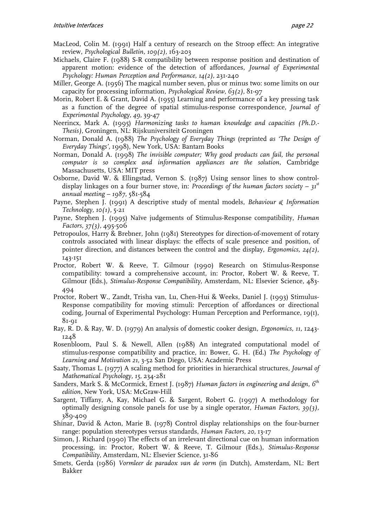- MacLeod, Colin M. (1991) Half a century of research on the Stroop effect: An integrative review, *Psychological Bulletin, 109(2),* 163-203
- Michaels, Claire F. (1988) S-R compatibility between response position and destination of apparent motion: evidence of the detection of affordances, *Journal of Experimental Psychology: Human Perception and Performance, 14(2), 231-240*
- Miller, George A. (1956) The magical number seven, plus or minus two: some limits on our capacity for processing information, *Psychological Review, 63(2),* 81-97
- Morin, Robert E. & Grant, David A. (1955) Learning and performance of a key pressing task as a function of the degree of spatial stimulus-response correspondence, *Journal of Experimental Psychology, 49,* 39-47
- Neerincx, Mark A. (1995) *Harmonizing tasks to human knowledge and capacities (Ph.D.- Thesis),* Groningen, NL: Rijskuniversiteit Groningen
- Norman, Donald A. (1988) *The Psychology of Everyday Things* (reprinted *as 'The Design of Everyday Things',* 1998), New York, USA: Bantam Books
- Norman, Donald A. (1998) *The invisible computer; Why good products can fail, the personal computer is so complex and information appliances are the solution,* Cambridge Massachusetts, USA: MIT press
- Osborne, David W. & Ellingstad, Vernon S. (1987) Using sensor lines to show controldisplay linkages on a four burner stove, in: *Proceedings of the human factors society – 31st annual meeting – 1987,* 581-584
- Payne, Stephen J. (1991) A descriptive study of mental models, *Behaviour & Information Technology, 10(1),* 5-21
- Payne, Stephen J. (1995) Naïve judgements of Stimulus-Response compatibility, *Human Factors, 37(3),* 495-506
- Petropoulos, Harry & Brebner, John (1981) Stereotypes for direction-of-movement of rotary controls associated with linear displays: the effects of scale presence and position, of pointer direction, and distances between the control and the display, *Ergonomics, 24(2),*  143-151
- Proctor, Robert W. & Reeve, T. Gilmour (1990) Research on Stimulus-Response compatibility: toward a comprehensive account, in: Proctor, Robert W. & Reeve, T. Gilmour (Eds.), *Stimulus-Response Compatibility,* Amsterdam, NL: Elsevier Science, 483- 494
- Proctor, Robert W., Zandt, Trisha van, Lu, Chen-Hui & Weeks, Daniel J. (1993) Stimulus-Response compatibility for moving stimuli: Perception of affordances or directional coding, Journal of Experimental Psychology: Human Perception and Performance, 19(1), 81-91
- Ray, R. D. & Ray, W. D. (1979) An analysis of domestic cooker design, *Ergonomics, 11,* 1243- 1248
- Rosenbloom, Paul S. & Newell, Allen (1988) An integrated computational model of stimulus-response compatibility and practice, in: Bower, G. H. (Ed.) *The Psychology of Learning and Motivation 21,* 3-52 San Diego, USA: Academic Press
- Saaty, Thomas L. (1977) A scaling method for priorities in hierarchical structures, *Journal of Mathematical Psychology, 15,* 234-281
- Sanders, Mark S. & McCormick, Ernest J. (1987) *Human factors in engineering and design, 6th edition,* New York, USA: McGraw-Hill
- Sargent, Tiffany, A, Kay, Michael G. & Sargent, Robert G. (1997) A methodology for optimally designing console panels for use by a single operator, *Human Factors, 39(3),*  389-409
- Shinar, David & Acton, Marie B. (1978) Control display relationships on the four-burner range: population stereotypes versus standards, *Human Factors, 20,* 13-17
- Simon, J. Richard (1990) The effects of an irrelevant directional cue on human information processing, in: Proctor, Robert W. & Reeve, T. Gilmour (Eds.), *Stimulus-Response Compatibility,* Amsterdam, NL: Elsevier Science, 31-86
- Smets, Gerda (1986) *Vormleer de paradox van de vorm* (in Dutch)*,* Amsterdam, NL: Bert Bakker